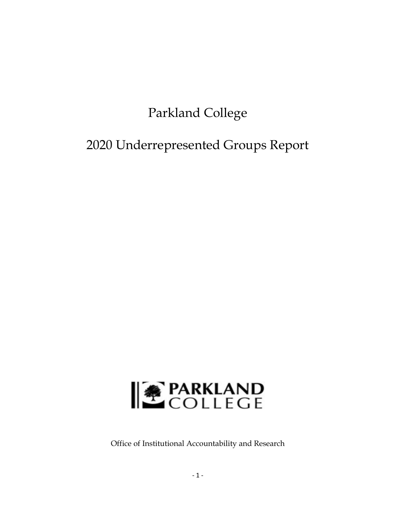# Parkland College

2020 Underrepresented Groups Report



Office of Institutional Accountability and Research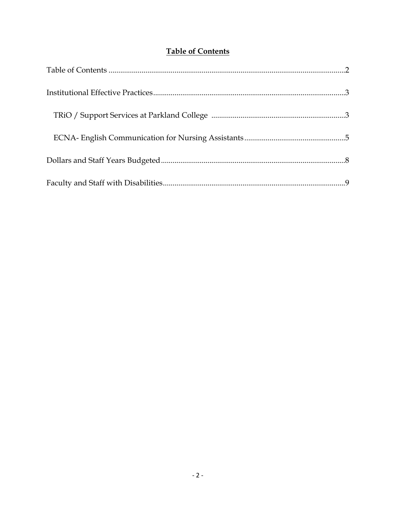## **Table of Contents**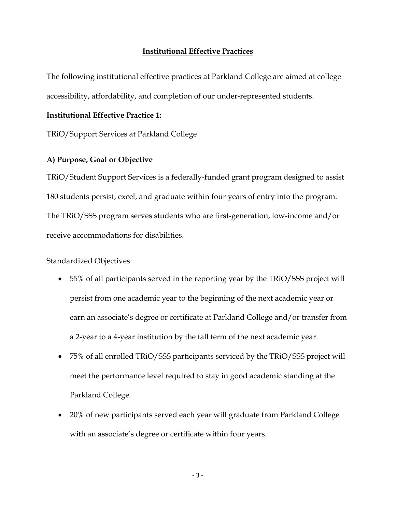#### **Institutional Effective Practices**

The following institutional effective practices at Parkland College are aimed at college accessibility, affordability, and completion of our under-represented students.

#### **Institutional Effective Practice 1:**

TRiO/Support Services at Parkland College

#### **A) Purpose, Goal or Objective**

TRiO/Student Support Services is a federally-funded grant program designed to assist 180 students persist, excel, and graduate within four years of entry into the program. The TRiO/SSS program serves students who are first-generation, low-income and/or receive accommodations for disabilities.

### Standardized Objectives

- 55% of all participants served in the reporting year by the TRiO/SSS project will persist from one academic year to the beginning of the next academic year or earn an associate's degree or certificate at Parkland College and/or transfer from a 2-year to a 4-year institution by the fall term of the next academic year.
- 75% of all enrolled TRiO/SSS participants serviced by the TRiO/SSS project will meet the performance level required to stay in good academic standing at the Parkland College.
- 20% of new participants served each year will graduate from Parkland College with an associate's degree or certificate within four years.

 $-3-$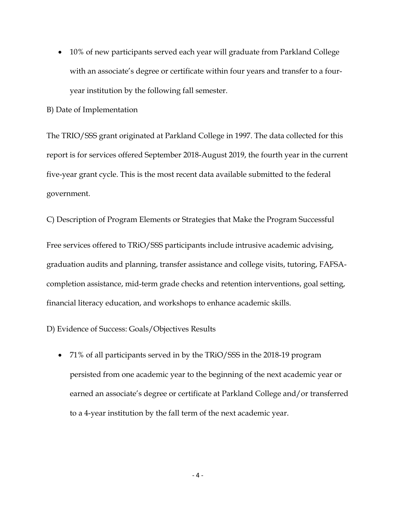• 10% of new participants served each year will graduate from Parkland College with an associate's degree or certificate within four years and transfer to a fouryear institution by the following fall semester.

B) Date of Implementation

The TRIO/SSS grant originated at Parkland College in 1997. The data collected for this report is for services offered September 2018-August 2019, the fourth year in the current five-year grant cycle. This is the most recent data available submitted to the federal government.

C) Description of Program Elements or Strategies that Make the Program Successful Free services offered to TRiO/SSS participants include intrusive academic advising, graduation audits and planning, transfer assistance and college visits, tutoring, FAFSAcompletion assistance, mid-term grade checks and retention interventions, goal setting, financial literacy education, and workshops to enhance academic skills.

D) Evidence of Success: Goals/Objectives Results

 71% of all participants served in by the TRiO/SSS in the 2018-19 program persisted from one academic year to the beginning of the next academic year or earned an associate's degree or certificate at Parkland College and/or transferred to a 4-year institution by the fall term of the next academic year.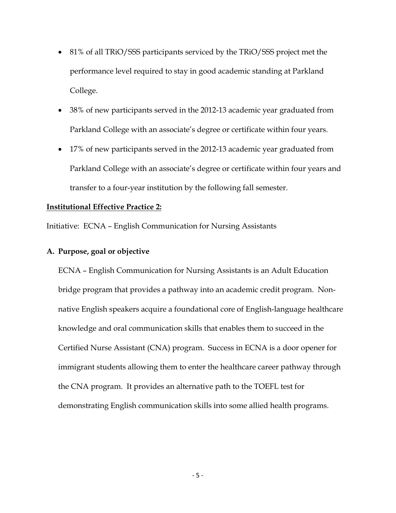- 81% of all TRiO/SSS participants serviced by the TRiO/SSS project met the performance level required to stay in good academic standing at Parkland College.
- 38% of new participants served in the 2012-13 academic year graduated from Parkland College with an associate's degree or certificate within four years.
- 17% of new participants served in the 2012-13 academic year graduated from Parkland College with an associate's degree or certificate within four years and transfer to a four-year institution by the following fall semester.

#### **Institutional Effective Practice 2:**

Initiative: ECNA – English Communication for Nursing Assistants

#### **A. Purpose, goal or objective**

ECNA – English Communication for Nursing Assistants is an Adult Education bridge program that provides a pathway into an academic credit program. Nonnative English speakers acquire a foundational core of English-language healthcare knowledge and oral communication skills that enables them to succeed in the Certified Nurse Assistant (CNA) program. Success in ECNA is a door opener for immigrant students allowing them to enter the healthcare career pathway through the CNA program. It provides an alternative path to the TOEFL test for demonstrating English communication skills into some allied health programs.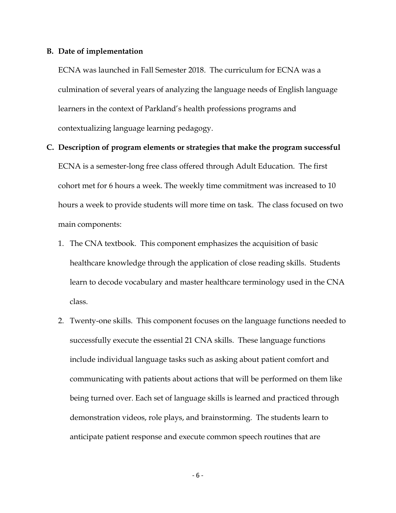#### **B. Date of implementation**

ECNA was launched in Fall Semester 2018. The curriculum for ECNA was a culmination of several years of analyzing the language needs of English language learners in the context of Parkland's health professions programs and contextualizing language learning pedagogy.

- **C. Description of program elements or strategies that make the program successful**  ECNA is a semester-long free class offered through Adult Education. The first cohort met for 6 hours a week. The weekly time commitment was increased to 10 hours a week to provide students will more time on task. The class focused on two main components:
	- 1. The CNA textbook. This component emphasizes the acquisition of basic healthcare knowledge through the application of close reading skills. Students learn to decode vocabulary and master healthcare terminology used in the CNA class.
	- 2. Twenty-one skills. This component focuses on the language functions needed to successfully execute the essential 21 CNA skills. These language functions include individual language tasks such as asking about patient comfort and communicating with patients about actions that will be performed on them like being turned over. Each set of language skills is learned and practiced through demonstration videos, role plays, and brainstorming. The students learn to anticipate patient response and execute common speech routines that are

 $-6-$